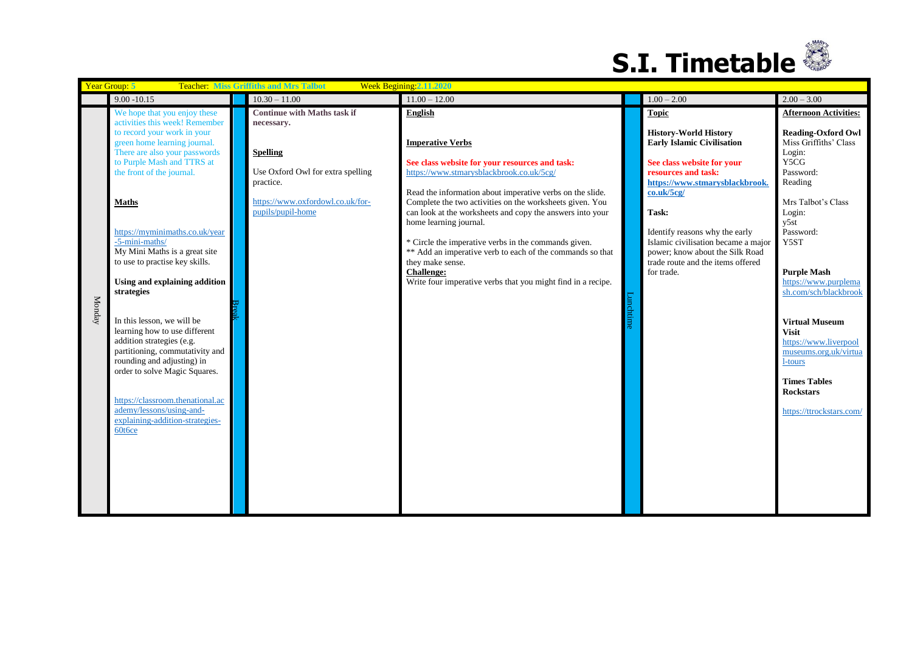

|        | Year Group: 5<br><b>Teacher: Miss Griffiths and Mrs Talbot</b><br>Week Begining 2.11.2020                                                                                                                                                                                                                                                                                                                                                                                                                                                                                                                                                                                                                                  |                                                                                                                                                                                |                                                                                                                                                                                                                                                                                                                                                                                                                                                                                                                                                                                |        |                                                                                                                                                                                                                                                                                                                                                                |                                                                                                                                                                                                                                                                                                                                                                                                                                               |  |
|--------|----------------------------------------------------------------------------------------------------------------------------------------------------------------------------------------------------------------------------------------------------------------------------------------------------------------------------------------------------------------------------------------------------------------------------------------------------------------------------------------------------------------------------------------------------------------------------------------------------------------------------------------------------------------------------------------------------------------------------|--------------------------------------------------------------------------------------------------------------------------------------------------------------------------------|--------------------------------------------------------------------------------------------------------------------------------------------------------------------------------------------------------------------------------------------------------------------------------------------------------------------------------------------------------------------------------------------------------------------------------------------------------------------------------------------------------------------------------------------------------------------------------|--------|----------------------------------------------------------------------------------------------------------------------------------------------------------------------------------------------------------------------------------------------------------------------------------------------------------------------------------------------------------------|-----------------------------------------------------------------------------------------------------------------------------------------------------------------------------------------------------------------------------------------------------------------------------------------------------------------------------------------------------------------------------------------------------------------------------------------------|--|
|        | $9.00 - 10.15$                                                                                                                                                                                                                                                                                                                                                                                                                                                                                                                                                                                                                                                                                                             | $10.30 - 11.00$                                                                                                                                                                | $11.00 - 12.00$                                                                                                                                                                                                                                                                                                                                                                                                                                                                                                                                                                |        | $1.00 - 2.00$                                                                                                                                                                                                                                                                                                                                                  | $2.00 - 3.00$                                                                                                                                                                                                                                                                                                                                                                                                                                 |  |
| Monday | We hope that you enjoy these<br>activities this week! Remember<br>to record your work in your<br>green home learning journal.<br>There are also your passwords<br>to Purple Mash and TTRS at<br>the front of the journal.<br><b>Maths</b><br>https://myminimaths.co.uk/year<br>-5-mini-maths/<br>My Mini Maths is a great site<br>to use to practise key skills.<br>Using and explaining addition<br>strategies<br>In this lesson, we will be<br>learning how to use different<br>addition strategies (e.g.<br>partitioning, commutativity and<br>rounding and adjusting) in<br>order to solve Magic Squares.<br>https://classroom.thenational.ac<br>ademy/lessons/using-and-<br>explaining-addition-strategies-<br>60t6ce | <b>Continue with Maths task if</b><br>necessary.<br><b>Spelling</b><br>Use Oxford Owl for extra spelling<br>practice.<br>https://www.oxfordowl.co.uk/for-<br>pupils/pupil-home | English<br><b>Imperative Verbs</b><br>See class website for your resources and task:<br>https://www.stmarysblackbrook.co.uk/5cg/<br>Read the information about imperative verbs on the slide.<br>Complete the two activities on the worksheets given. You<br>can look at the worksheets and copy the answers into your<br>home learning journal.<br>* Circle the imperative verbs in the commands given.<br>** Add an imperative verb to each of the commands so that<br>they make sense.<br><b>Challenge:</b><br>Write four imperative verbs that you might find in a recipe. | Luncht | <b>Topic</b><br><b>History-World History</b><br><b>Early Islamic Civilisation</b><br>See class website for your<br>resources and task:<br>https://www.stmarysblackbrook.<br>co.uk/5cg/<br>Task:<br>Identify reasons why the early<br>Islamic civilisation became a major<br>power; know about the Silk Road<br>trade route and the items offered<br>for trade. | <b>Afternoon Activities:</b><br><b>Reading-Oxford Owl</b><br>Miss Griffiths' Class<br>Login:<br>Y5CG<br>Password:<br>Reading<br>Mrs Talbot's Class<br>Login:<br>y5st<br>Password:<br>Y5ST<br><b>Purple Mash</b><br>https://www.purplema<br>sh.com/sch/blackbrook<br><b>Virtual Museum</b><br><b>Visit</b><br>https://www.liverpool<br>museums.org.uk/virtua<br>1-tours<br><b>Times Tables</b><br><b>Rockstars</b><br>https://ttrockstars.com/ |  |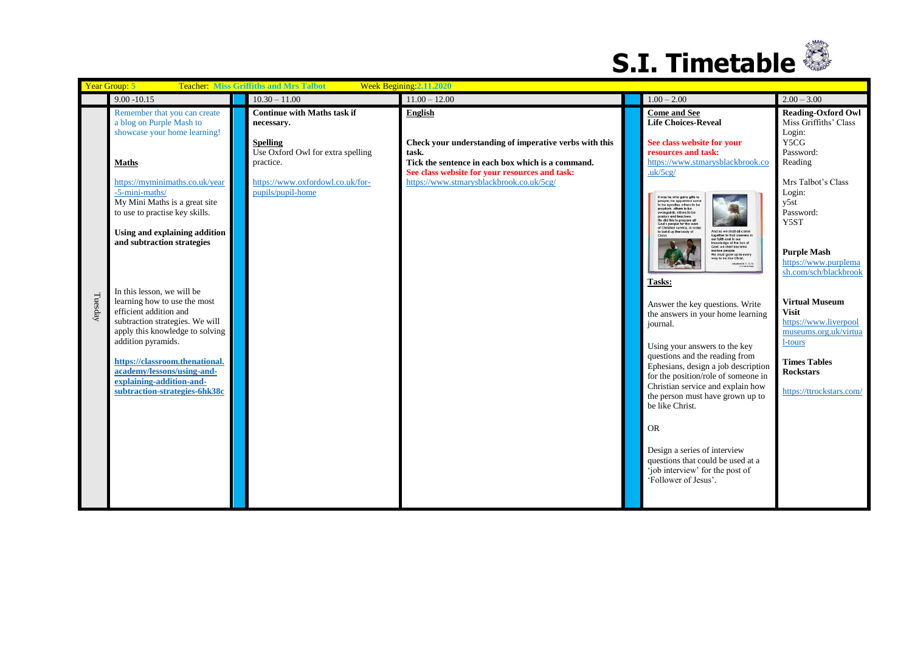

|         | Week Begining: 2.11.2020<br>Year Group: 5<br><b>Teacher: Miss Griffiths and Mrs Talbot</b>                                                                                                                                                                                                                    |                                                                                                         |                                                                                                                                                          |  |                                                                                                                                                                                                                                                                                                                                                                                                                                                                                                                                                                                                      |                                                                                                                                                                                                    |  |  |
|---------|---------------------------------------------------------------------------------------------------------------------------------------------------------------------------------------------------------------------------------------------------------------------------------------------------------------|---------------------------------------------------------------------------------------------------------|----------------------------------------------------------------------------------------------------------------------------------------------------------|--|------------------------------------------------------------------------------------------------------------------------------------------------------------------------------------------------------------------------------------------------------------------------------------------------------------------------------------------------------------------------------------------------------------------------------------------------------------------------------------------------------------------------------------------------------------------------------------------------------|----------------------------------------------------------------------------------------------------------------------------------------------------------------------------------------------------|--|--|
|         | $9.00 - 10.15$                                                                                                                                                                                                                                                                                                | $10.30 - 11.00$                                                                                         | $11.00 - 12.00$                                                                                                                                          |  | $1.00 - 2.00$                                                                                                                                                                                                                                                                                                                                                                                                                                                                                                                                                                                        | $2.00 - 3.00$                                                                                                                                                                                      |  |  |
|         | Remember that you can create<br>a blog on Purple Mash to<br>showcase your home learning!                                                                                                                                                                                                                      | <b>Continue with Maths task if</b><br>necessary.<br><b>Spelling</b>                                     | English<br>Check your understanding of imperative verbs with this                                                                                        |  | <b>Come and See</b><br><b>Life Choices-Reveal</b><br>See class website for your<br>resources and task:                                                                                                                                                                                                                                                                                                                                                                                                                                                                                               | <b>Reading-Oxford Owl</b><br>Miss Griffiths' Class<br>Login:<br>Y5CG                                                                                                                               |  |  |
|         | <b>Maths</b><br>https://myminimaths.co.uk/year<br>-5-mini-maths/<br>My Mini Maths is a great site<br>to use to practise key skills.<br>Using and explaining addition<br>and subtraction strategies                                                                                                            | Use Oxford Owl for extra spelling<br>practice.<br>https://www.oxfordowl.co.uk/for-<br>pupils/pupil-home | task.<br>Tick the sentence in each box which is a command.<br>See class website for your resources and task:<br>https://www.stmarysblackbrook.co.uk/5cg/ |  | https://www.stmarysblackbrook.co<br>uk/5cg/<br>It was he who gave gitts to<br>people; he appointed some<br>to be apostles, others to be<br>prophets, others to be<br>evangelists, others to be<br>pastors and teachers.<br>He did this to prepare all<br>God's people for the work<br>of Christian service, in orde<br>And so we shall all come<br>to build up the body of<br>together to that oneness in<br>our faith and in our<br>mowledge of the Son of<br>God; we shall become<br>mature people.<br>We must grow up in every<br>way to be like Christ.<br>shedans 4, 11, 13, 15<br>Clame & Seel | Password:<br>Reading<br>Mrs Talbot's Class<br>Login:<br>y5st<br>Password:<br>Y5ST<br><b>Purple Mash</b><br>https://www.purplema                                                                    |  |  |
| Tuesday | In this lesson, we will be<br>learning how to use the most<br>efficient addition and<br>subtraction strategies. We will<br>apply this knowledge to solving<br>addition pyramids.<br>https://classroom.thenational.<br>academy/lessons/using-and-<br>explaining-addition-and-<br>subtraction-strategies-6hk38c |                                                                                                         |                                                                                                                                                          |  | Tasks:<br>Answer the key questions. Write<br>the answers in your home learning<br>journal.<br>Using your answers to the key<br>questions and the reading from<br>Ephesians, design a job description<br>for the position/role of someone in<br>Christian service and explain how<br>the person must have grown up to<br>be like Christ.<br><b>OR</b><br>Design a series of interview<br>questions that could be used at a<br>'job interview' for the post of<br>'Follower of Jesus'.                                                                                                                 | sh.com/sch/blackbrook<br><b>Virtual Museum</b><br><b>Visit</b><br>https://www.liverpool<br>museums.org.uk/virtua<br>1-tours<br><b>Times Tables</b><br><b>Rockstars</b><br>https://ttrockstars.com/ |  |  |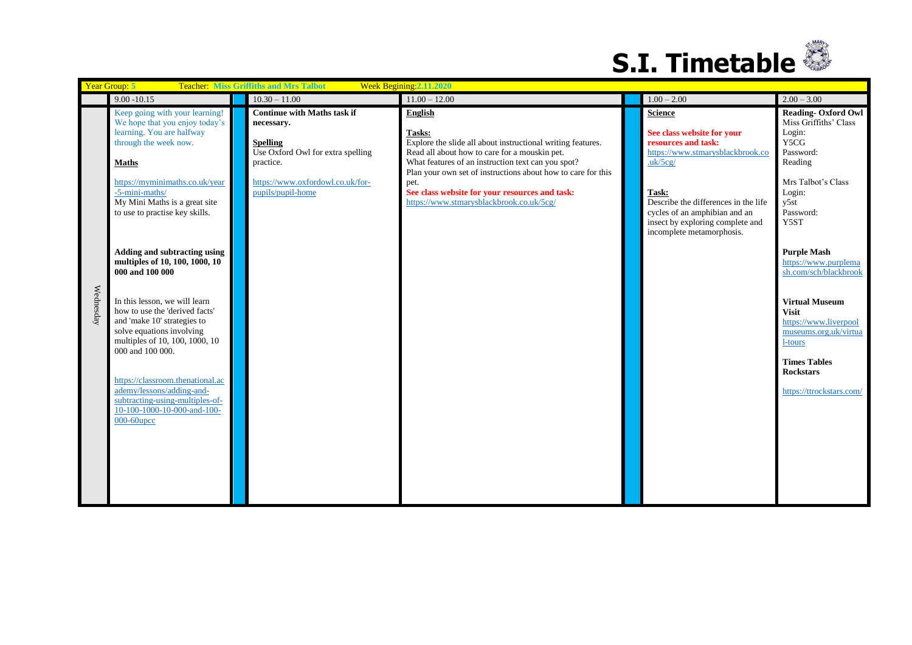

|           | Week Begining: 2.11.2020<br>Year Group: 5<br><b>Teacher: Miss Griffiths and Mrs Talbot</b>                                                                                        |                                                                                                          |                                                                                                                                   |  |                                                                                                                                                 |                                                                                                    |
|-----------|-----------------------------------------------------------------------------------------------------------------------------------------------------------------------------------|----------------------------------------------------------------------------------------------------------|-----------------------------------------------------------------------------------------------------------------------------------|--|-------------------------------------------------------------------------------------------------------------------------------------------------|----------------------------------------------------------------------------------------------------|
|           | $9.00 - 10.15$                                                                                                                                                                    | $10.30 - 11.00$                                                                                          | $11.00 - 12.00$                                                                                                                   |  | $1.00 - 2.00$                                                                                                                                   | $2.00 - 3.00$                                                                                      |
|           | Keep going with your learning!<br>We hope that you enjoy today's<br>learning. You are halfway<br>through the week now.                                                            | <b>Continue with Maths task if</b><br>necessary.<br><b>Spelling</b><br>Use Oxford Owl for extra spelling | English<br>Tasks:<br>Explore the slide all about instructional writing features.<br>Read all about how to care for a mouskin pet. |  | <b>Science</b><br>See class website for your<br>resources and task:                                                                             | <b>Reading-Oxford Owl</b><br>Miss Griffiths' Class<br>Login:<br>Y5CG<br>Password:                  |
|           | <b>Maths</b>                                                                                                                                                                      | practice.                                                                                                | What features of an instruction text can you spot?<br>Plan your own set of instructions about how to care for this                |  | https://www.stmarysblackbrook.co<br>uk/5cg/                                                                                                     | Reading                                                                                            |
|           | https://myminimaths.co.uk/year<br>-5-mini-maths/<br>My Mini Maths is a great site<br>to use to practise key skills.                                                               | https://www.oxfordowl.co.uk/for-<br>pupils/pupil-home                                                    | pet.<br>See class website for your resources and task:<br>https://www.stmarysblackbrook.co.uk/5cg/                                |  | Task:<br>Describe the differences in the life<br>cycles of an amphibian and an<br>insect by exploring complete and<br>incomplete metamorphosis. | Mrs Talbot's Class<br>Login:<br>y5st<br>Password:<br>Y5ST                                          |
|           | Adding and subtracting using<br>multiples of 10, 100, 1000, 10<br>000 and 100 000                                                                                                 |                                                                                                          |                                                                                                                                   |  |                                                                                                                                                 | <b>Purple Mash</b><br>https://www.purplema<br>sh.com/sch/blackbrook                                |
| Wednesday | In this lesson, we will learn<br>how to use the 'derived facts'<br>and 'make 10' strategies to<br>solve equations involving<br>multiples of 10, 100, 1000, 10<br>000 and 100 000. |                                                                                                          |                                                                                                                                   |  |                                                                                                                                                 | <b>Virtual Museum</b><br><b>Visit</b><br>https://www.liverpool<br>museums.org.uk/virtua<br>1-tours |
|           | https://classroom.thenational.ac<br>ademy/lessons/adding-and-<br>subtracting-using-multiples-of-<br>10-100-1000-10-000-and-100-<br>$000-60$ upcc                                  |                                                                                                          |                                                                                                                                   |  |                                                                                                                                                 | <b>Times Tables</b><br><b>Rockstars</b><br>https://ttrockstars.com/                                |
|           |                                                                                                                                                                                   |                                                                                                          |                                                                                                                                   |  |                                                                                                                                                 |                                                                                                    |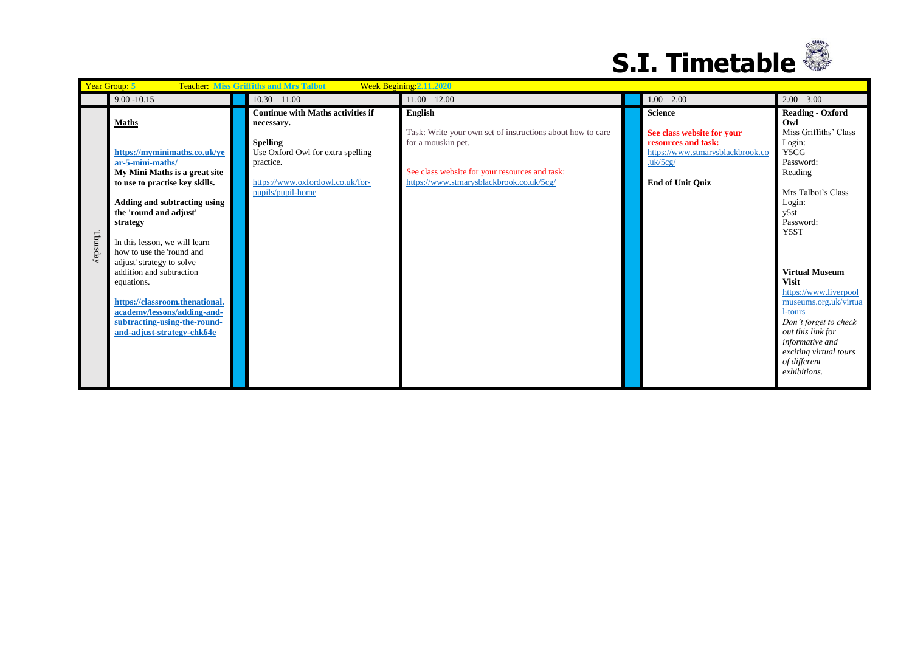

| Year Group: 5<br><b>Teacher: Miss Griffiths and Mrs Talbot</b><br>Week Begining: 2.11.2020 |                                                                                                                                                                                                                                                                                                                                                                                                                                                                               |                                                                                                                                                                                      |                                                                                                                                                                                                  |  |                                                                                                                                               |                                                                                                                                                                                                                                                                                                                                                                                                 |  |
|--------------------------------------------------------------------------------------------|-------------------------------------------------------------------------------------------------------------------------------------------------------------------------------------------------------------------------------------------------------------------------------------------------------------------------------------------------------------------------------------------------------------------------------------------------------------------------------|--------------------------------------------------------------------------------------------------------------------------------------------------------------------------------------|--------------------------------------------------------------------------------------------------------------------------------------------------------------------------------------------------|--|-----------------------------------------------------------------------------------------------------------------------------------------------|-------------------------------------------------------------------------------------------------------------------------------------------------------------------------------------------------------------------------------------------------------------------------------------------------------------------------------------------------------------------------------------------------|--|
|                                                                                            | $9.00 - 10.15$                                                                                                                                                                                                                                                                                                                                                                                                                                                                | $10.30 - 11.00$                                                                                                                                                                      | $11.00 - 12.00$                                                                                                                                                                                  |  | $1.00 - 2.00$                                                                                                                                 | $2.00 - 3.00$                                                                                                                                                                                                                                                                                                                                                                                   |  |
| Thursday                                                                                   | <b>Maths</b><br>https://myminimaths.co.uk/ye<br>ar-5-mini-maths/<br>My Mini Maths is a great site<br>to use to practise key skills.<br>Adding and subtracting using<br>the 'round and adjust'<br>strategy<br>In this lesson, we will learn<br>how to use the 'round and<br>adjust' strategy to solve<br>addition and subtraction<br>equations.<br>https://classroom.thenational.<br>academy/lessons/adding-and-<br>subtracting-using-the-round-<br>and-adjust-strategy-chk64e | <b>Continue with Maths activities if</b><br>necessary.<br><b>Spelling</b><br>Use Oxford Owl for extra spelling<br>practice.<br>https://www.oxfordowl.co.uk/for-<br>pupils/pupil-home | <b>English</b><br>Task: Write your own set of instructions about how to care<br>for a mouskin pet.<br>See class website for your resources and task:<br>https://www.stmarysblackbrook.co.uk/5cg/ |  | <b>Science</b><br>See class website for your<br>resources and task:<br>https://www.stmarysblackbrook.co<br>uk/5cg/<br><b>End of Unit Quiz</b> | <b>Reading - Oxford</b><br>Owl<br>Miss Griffiths' Class<br>Login:<br>Y5CG<br>Password:<br>Reading<br>Mrs Talbot's Class<br>Login:<br>y5st<br>Password:<br>Y5ST<br><b>Virtual Museum</b><br><b>Visit</b><br>https://www.liverpool<br>museums.org.uk/virtua<br>1-tours<br>Don't forget to check<br>out this link for<br>informative and<br>exciting virtual tours<br>of different<br>exhibitions. |  |